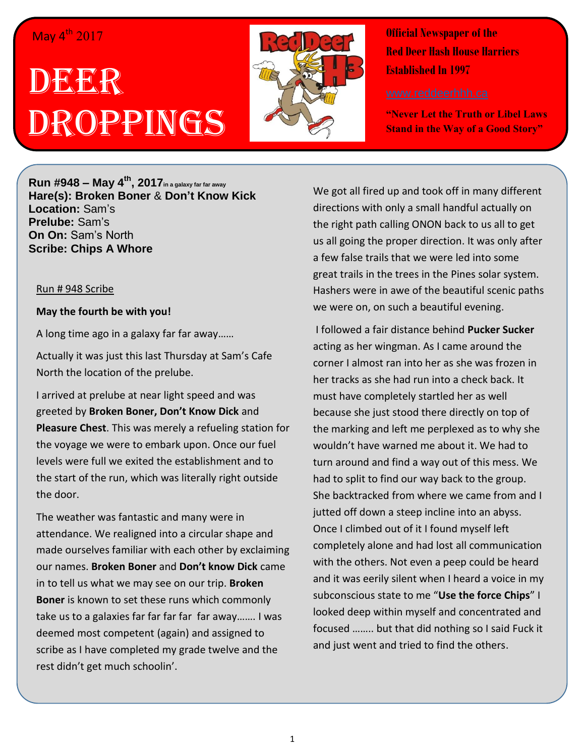## May 4<sup>th</sup> 2017

# DE**xER** ROPPINGS



**Official Newspaper of the Red Deer Hash House Harriers Established In 1997** 

**"Never Let the Truth or Libel Laws Stand in the Way of a Good Story"**

**Run #948 – May 4th , 2017in a galaxy far far away Hare(s): Broken Boner** & **Don't Know Kick Location:** Sam's **Prelube:** Sam's **On On:** Sam's North **Scribe: Chips A Whore**

#### Run # 948 Scribe

#### **May the fourth be with you!**

A long time ago in a galaxy far far away……

Actually it was just this last Thursday at Sam's Cafe North the location of the prelube.

I arrived at prelube at near light speed and was greeted by **Broken Boner, Don't Know Dick** and **Pleasure Chest**. This was merely a refueling station for the voyage we were to embark upon. Once our fuel levels were full we exited the establishment and to the start of the run, which was literally right outside the door.

The weather was fantastic and many were in attendance. We realigned into a circular shape and made ourselves familiar with each other by exclaiming our names. **Broken Boner** and **Don't know Dick** came in to tell us what we may see on our trip. **Broken Boner** is known to set these runs which commonly take us to a galaxies far far far far far away……. I was deemed most competent (again) and assigned to scribe as I have completed my grade twelve and the rest didn't get much schoolin'.

We got all fired up and took off in many different directions with only a small handful actually on the right path calling ONON back to us all to get us all going the proper direction. It was only after a few false trails that we were led into some great trails in the trees in the Pines solar system. Hashers were in awe of the beautiful scenic paths we were on, on such a beautiful evening.

I followed a fair distance behind **Pucker Sucker** acting as her wingman. As I came around the corner I almost ran into her as she was frozen in her tracks as she had run into a check back. It must have completely startled her as well because she just stood there directly on top of the marking and left me perplexed as to why she wouldn't have warned me about it. We had to turn around and find a way out of this mess. We had to split to find our way back to the group. She backtracked from where we came from and I jutted off down a steep incline into an abyss. Once I climbed out of it I found myself left completely alone and had lost all communication with the others. Not even a peep could be heard and it was eerily silent when I heard a voice in my subconscious state to me "**Use the force Chips**" I looked deep within myself and concentrated and focused …….. but that did nothing so I said Fuck it and just went and tried to find the others.